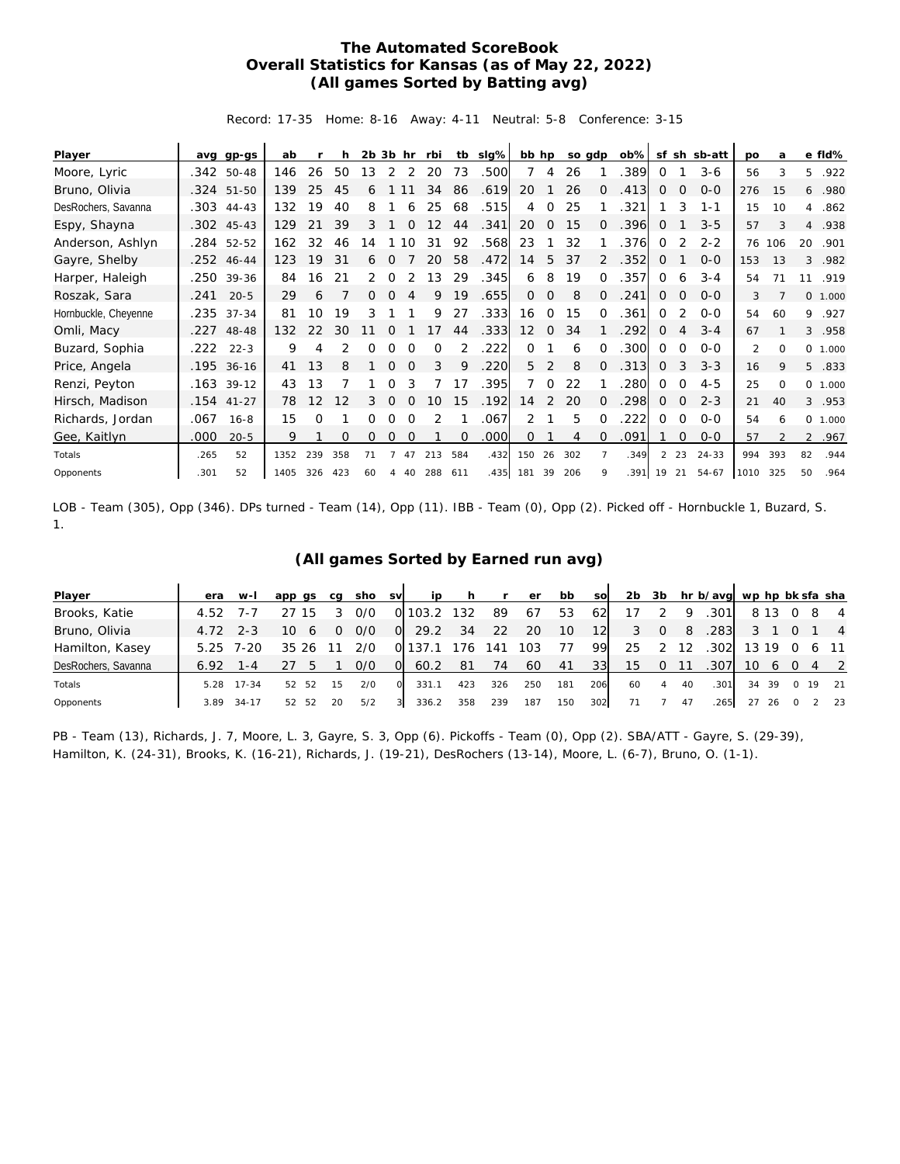## **The Automated ScoreBook Overall Statistics for Kansas (as of May 22, 2022) (All games Sorted by Batting avg)**

Record: 17-35 Home: 8-16 Away: 4-11 Neutral: 5-8 Conference: 3-15

| Player               | avq  | $qp-gs$      | ab   |     |     | $2b$ $3b$ hr |          |          | rbi      | tb  | slg% | bb hp             |                | so gdp |          | $ob\%$ | sf | sh             | sb-att    | po   | a        |                | e fld%  |
|----------------------|------|--------------|------|-----|-----|--------------|----------|----------|----------|-----|------|-------------------|----------------|--------|----------|--------|----|----------------|-----------|------|----------|----------------|---------|
| Moore, Lyric         |      | $.342$ 50-48 | 146  | 26  | 50  | 13           | 2        | 2        | 20       | 73  | .500 | 7                 | 4              | 26     |          | 389    | 0  |                | $3-6$     | 56   | 3        | 5.             | .922    |
| Bruno, Olivia        |      | .324 51-50   | 139  | 25  | 45  | 6            |          |          | 34       | 86  | .619 | 20                |                | 26     | 0        | .413   | 0  | $\Omega$       | $0 - 0$   | 276  | 15       | 6              | .980    |
| DesRochers, Savanna  |      | $.303$ 44-43 | 132  | 19  | 40  | 8            |          | 6        | 25       | 68  | .515 | 4                 | $\Omega$       | 25     |          | 321    |    | 3              | $1 - 1$   | 15   | 10       | 4              | .862    |
| Espy, Shayna         |      | $.302$ 45-43 | 129  | 21  | 39  | 3            |          | $\Omega$ | 12       | 44  | .341 | 20                | $\Omega$       | 15     | 0        | 396    | 0  |                | $3 - 5$   | 57   | 3        | $\overline{4}$ | .938    |
| Anderson, Ashlyn     |      | .284 52-52   | 162  | 32  | 46  | 14           |          | 10       | 31       | 92  | .568 | 23                |                | 32     |          | 376    | 0  | 2              | $2 - 2$   | 76   | 106      | 20             | .901    |
| Gayre, Shelby        |      | .252 46-44   | 123  | 19  | 31  | 6            | 0        |          | 20       | 58  | .472 | 14                | 5              | 37     | 2        | 352    | 0  |                | $O - O$   | 153  | 13       | 3              | .982    |
| Harper, Haleigh      |      | .250 39-36   | 84   | 16  | 21  | 2            | $\Omega$ |          | 13       | 29  | .345 | 6                 | 8              | 19     | 0        | .357   | 0  | 6              | $3 - 4$   | 54   | 71       | 11             | .919    |
| Roszak, Sara         | .241 | $20 - 5$     | 29   | 6   |     | 0            | $\Omega$ | 4        | 9        | 19  | .655 | $\circ$           | 0              | 8      | $\Omega$ | 241    | 0  | $\mathbf 0$    | $0 - 0$   | 3    |          |                | 0 1.000 |
| Hornbuckle, Cheyenne |      | .235 37-34   | 81   | 10  | 19  | 3            |          |          | 9        | 27  | .333 | 16                | $\Omega$       | 15     | $\Omega$ | .361   | 0  | 2              | $0 - 0$   | 54   | 60       | 9              | .927    |
| Omli, Macy           |      | .227 48-48   | 132  | 22  | 30  | 11           | O        |          | 17       | 44  | .333 | $12 \overline{ }$ | $\overline{0}$ | 34     |          | 292    | 0  | $\overline{4}$ | $3 - 4$   | 67   |          |                | 3.958   |
| Buzard, Sophia       | .222 | $22 - 3$     | 9    | 4   |     |              |          |          | $\Omega$ | 2   | .222 | $\Omega$          |                | 6      | ∩        | 300    | 0  | 0              | $O - O$   | 2    | $\Omega$ |                | 0 1.000 |
| Price, Angela        |      | .195 36-16   | 41   | 13  | 8   |              | $\Omega$ | $\Omega$ | 3        | 9   | .220 | 5                 | 2              | 8      | $\Omega$ | .313   | 0  | 3              | $3 - 3$   | 16   | 9        | 5              | .833    |
| Renzi, Peyton        |      | $.163$ 39-12 | 43   | 13  |     |              | Ω        |          |          | 17  | .395 | 7                 | $\Omega$       | 22     |          | 280    | 0  | 0              | $4 - 5$   | 25   | $\Omega$ |                | 0 1.000 |
| Hirsch, Madison      |      | $.154$ 41-27 | 78   | 12  | 12  | 3            | $\Omega$ | $\Omega$ | 10       | 15  | .192 | 14                | 2              | 20     | $\Omega$ | .298   | 0  | $\mathbf 0$    | $2 - 3$   | 21   | 40       | 3              | .953    |
| Richards, Jordan     | .067 | $16 - 8$     | 15   | 0   |     | 0            | 0        | $\Omega$ | 2        |     | .067 | 2                 |                | 5      | $\Omega$ | 222    | 0  | 0              | $0 - 0$   | 54   | 6        |                | 0 1.000 |
| Gee, Kaitlyn         | .000 | $20 - 5$     | 9    |     | 0   | 0            | 0        | 0        |          | 0   | .000 | 0                 |                | 4      | $\Omega$ | .091   |    | $\Omega$       | $0 - 0$   | 57   |          |                | 2 .967  |
| Totals               | .265 | 52           | 1352 | 239 | 358 | 71           |          |          | 213      | 584 | .432 | 150               | 26             | 302    |          | .349   | 2  | 23             | $24 - 33$ | 994  | 393      | 82             | .944    |
| Opponents            | .301 | 52           | 1405 | 326 | 423 | 60           | 4        | 40       | 288      | 611 | .435 | 181               | 39             | 206    | 9        | .391   | 19 | 21             | 54-67     | 1010 | 325      | 50             | .964    |

LOB - Team (305), Opp (346). DPs turned - Team (14), Opp (11). IBB - Team (0), Opp (2). Picked off - Hornbuckle 1, Buzard, S. 1.

## **(All games Sorted by Earned run avg)**

| Player              | era  | $W-I$     | app qs   | ca | sho | <b>SV</b> | ip    |     | r   | er  | bb  | <b>SO</b>       | 2 <sub>b</sub> | 3b       |    | hr b/avg wp hp bk sfa sha |    |       |                |    |                |
|---------------------|------|-----------|----------|----|-----|-----------|-------|-----|-----|-----|-----|-----------------|----------------|----------|----|---------------------------|----|-------|----------------|----|----------------|
| Brooks, Katie       | 4.52 | $1 -$     | 15       |    | 0/0 |           | 103.2 | 132 | 89  | 67  | 53  | -62             |                |          | Q  | 301                       |    | 8 13  |                | -8 | $\overline{4}$ |
| Bruno, Olivia       | 4.72 | $2 - 3$   | 10<br>6  | O  | 0/0 | $\Omega$  | 29.2  | 34  | 22  | 20  | 10  | 12 <sup>l</sup> | 3              | $\Omega$ | 8  | .283                      |    |       |                |    | $\overline{4}$ |
| Hamilton, Kasey     | 5.25 | 7-20      | 35<br>26 |    | 2/0 | O.        |       | 176 | 141 | 103 | 77  | 99              | 25             |          | 12 | .302                      |    | 13 19 |                |    | 6 11           |
| DesRochers, Savanna | 6.92 | 1 - 4     |          |    | 0/0 | O.        | 60.2  | -81 | 74  | 60  | 41  | 33 <sup>1</sup> | 15             | 0        |    | .307                      | 10 | 6     | $\overline{O}$ |    | 4 2            |
| Totals              | 5.28 | $17 - 34$ | 52<br>52 | 15 | 2/0 | $\Omega$  | 331.1 | 423 | 326 | 250 | 181 | 206             | 60             | 4        | 40 | .301                      | 34 | -39   | $\Omega$       | 19 | 21             |
| Opponents           | 3.89 | $34-17$   | 52<br>52 | 20 | 5/2 | 3         | 336.2 | 358 | 239 | 187 | 150 | 302             | 71             |          | 47 | 265                       | 27 | 26    |                |    | 23             |

PB - Team (13), Richards, J. 7, Moore, L. 3, Gayre, S. 3, Opp (6). Pickoffs - Team (0), Opp (2). SBA/ATT - Gayre, S. (29-39), Hamilton, K. (24-31), Brooks, K. (16-21), Richards, J. (19-21), DesRochers (13-14), Moore, L. (6-7), Bruno, O. (1-1).